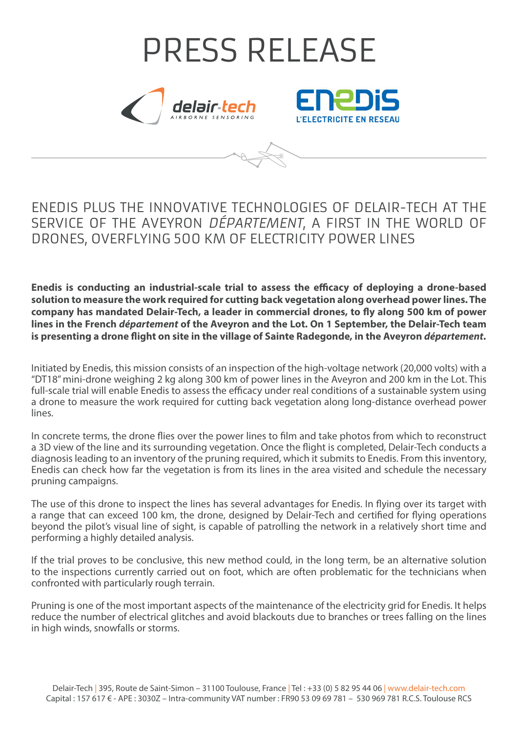# PRESS RELEASE L'ELECTRICITE EN RESEAU

# ENEDIS PLUS THE INNOVATIVE TECHNOLOGIES OF DELAIR-TECH AT THE SERVICE OF THE AVEYRON DÉPARTEMENT, A FIRST IN THE WORLD OF DRONES, OVERFLYING 500 KM OF ELECTRICITY POWER LINES

**Enedis is conducting an industrial-scale trial to assess the efficacy of deploying a drone-based solution to measure the work required for cutting back vegetation along overhead power lines. The company has mandated Delair-Tech, a leader in commercial drones, to fly along 500 km of power lines in the French** *département* **of the Aveyron and the Lot. On 1 September, the Delair-Tech team is presenting a drone flight on site in the village of Sainte Radegonde, in the Aveyron** *département***.**

Initiated by Enedis, this mission consists of an inspection of the high-voltage network (20,000 volts) with a "DT18" mini-drone weighing 2 kg along 300 km of power lines in the Aveyron and 200 km in the Lot. This full-scale trial will enable Enedis to assess the efficacy under real conditions of a sustainable system using a drone to measure the work required for cutting back vegetation along long-distance overhead power lines.

In concrete terms, the drone flies over the power lines to film and take photos from which to reconstruct a 3D view of the line and its surrounding vegetation. Once the flight is completed, Delair-Tech conducts a diagnosis leading to an inventory of the pruning required, which it submits to Enedis. From this inventory, Enedis can check how far the vegetation is from its lines in the area visited and schedule the necessary pruning campaigns.

The use of this drone to inspect the lines has several advantages for Enedis. In flying over its target with a range that can exceed 100 km, the drone, designed by Delair-Tech and certified for flying operations beyond the pilot's visual line of sight, is capable of patrolling the network in a relatively short time and performing a highly detailed analysis.

If the trial proves to be conclusive, this new method could, in the long term, be an alternative solution to the inspections currently carried out on foot, which are often problematic for the technicians when confronted with particularly rough terrain.

Pruning is one of the most important aspects of the maintenance of the electricity grid for Enedis. It helps reduce the number of electrical glitches and avoid blackouts due to branches or trees falling on the lines in high winds, snowfalls or storms.